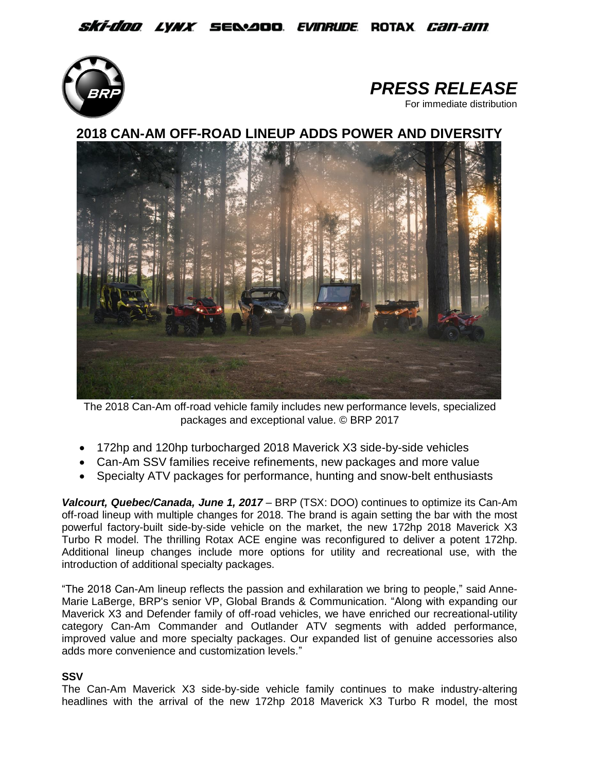*Ski-doo lynx s*e&aoo *evinrude* rotax *can-am* 





**2018 CAN-AM OFF-ROAD LINEUP ADDS POWER AND DIVERSITY**



The 2018 Can-Am off-road vehicle family includes new performance levels, specialized packages and exceptional value. © BRP 2017

- 172hp and 120hp turbocharged 2018 Maverick X3 side-by-side vehicles
- Can-Am SSV families receive refinements, new packages and more value
- Specialty ATV packages for performance, hunting and snow-belt enthusiasts

*Valcourt, Quebec/Canada, June 1, 2017* – BRP (TSX: DOO) continues to optimize its Can-Am off-road lineup with multiple changes for 2018. The brand is again setting the bar with the most powerful factory-built side-by-side vehicle on the market, the new 172hp 2018 Maverick X3 Turbo R model. The thrilling Rotax ACE engine was reconfigured to deliver a potent 172hp. Additional lineup changes include more options for utility and recreational use, with the introduction of additional specialty packages.

"The 2018 Can-Am lineup reflects the passion and exhilaration we bring to people," said Anne-Marie LaBerge, BRP's senior VP, Global Brands & Communication. "Along with expanding our Maverick X3 and Defender family of off-road vehicles, we have enriched our recreational-utility category Can-Am Commander and Outlander ATV segments with added performance, improved value and more specialty packages. Our expanded list of genuine accessories also adds more convenience and customization levels."

## **SSV**

The Can-Am Maverick X3 side-by-side vehicle family continues to make industry-altering headlines with the arrival of the new 172hp 2018 Maverick X3 Turbo R model, the most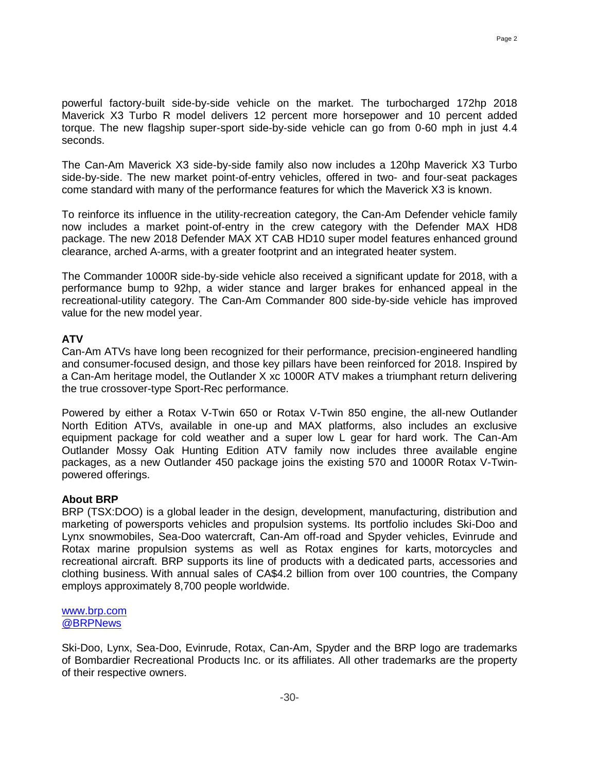powerful factory-built side-by-side vehicle on the market. The turbocharged 172hp 2018 Maverick X3 Turbo R model delivers 12 percent more horsepower and 10 percent added torque. The new flagship super-sport side-by-side vehicle can go from 0-60 mph in just 4.4 seconds.

The Can-Am Maverick X3 side-by-side family also now includes a 120hp Maverick X3 Turbo side-by-side. The new market point-of-entry vehicles, offered in two- and four-seat packages come standard with many of the performance features for which the Maverick X3 is known.

To reinforce its influence in the utility-recreation category, the Can-Am Defender vehicle family now includes a market point-of-entry in the crew category with the Defender MAX HD8 package. The new 2018 Defender MAX XT CAB HD10 super model features enhanced ground clearance, arched A-arms, with a greater footprint and an integrated heater system.

The Commander 1000R side-by-side vehicle also received a significant update for 2018, with a performance bump to 92hp, a wider stance and larger brakes for enhanced appeal in the recreational-utility category. The Can-Am Commander 800 side-by-side vehicle has improved value for the new model year.

## **ATV**

Can-Am ATVs have long been recognized for their performance, precision-engineered handling and consumer-focused design, and those key pillars have been reinforced for 2018. Inspired by a Can-Am heritage model, the Outlander X xc 1000R ATV makes a triumphant return delivering the true crossover-type Sport-Rec performance.

Powered by either a Rotax V-Twin 650 or Rotax V-Twin 850 engine, the all-new Outlander North Edition ATVs, available in one-up and MAX platforms, also includes an exclusive equipment package for cold weather and a super low L gear for hard work. The Can-Am Outlander Mossy Oak Hunting Edition ATV family now includes three available engine packages, as a new Outlander 450 package joins the existing 570 and 1000R Rotax V-Twinpowered offerings.

## **About BRP**

BRP (TSX:DOO) is a global leader in the design, development, manufacturing, distribution and marketing of powersports vehicles and propulsion systems. Its portfolio includes Ski-Doo and Lynx snowmobiles, Sea-Doo watercraft, Can-Am off-road and Spyder vehicles, Evinrude and Rotax marine propulsion systems as well as Rotax engines for karts, motorcycles and recreational aircraft. BRP supports its line of products with a dedicated parts, accessories and clothing business. With annual sales of CA\$4.2 billion from over 100 countries, the Company employs approximately 8,700 people worldwide.

## www.brp.com [@BRPNews](https://twitter.com/BRPnews)

Ski-Doo, Lynx, Sea-Doo, Evinrude, Rotax, Can-Am, Spyder and the BRP logo are trademarks of Bombardier Recreational Products Inc. or its affiliates. All other trademarks are the property of their respective owners.